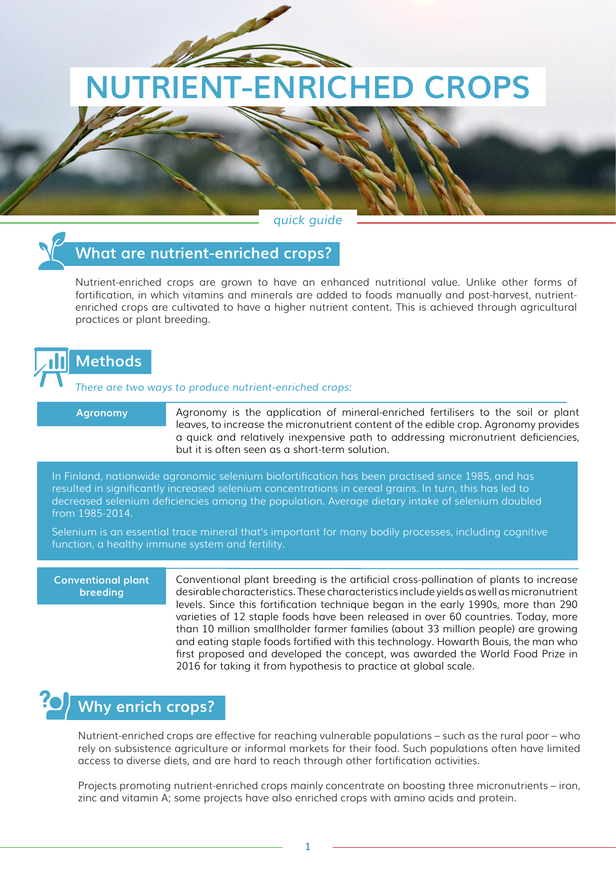# **NUTRIENT-ENRICHED CROPS**

*quick guide*



### **What are nutrient-enriched crops?**

Nutrient-enriched crops are grown to have an enhanced nutritional value. Unlike other forms of fortification, in which vitamins and minerals are added to foods manually and post-harvest, nutrientenriched crops are cultivated to have a higher nutrient content. This is achieved through agricultural practices or plant breeding.



*There are two ways to produce nutrient-enriched crops:*

**Agronomy**

Agronomy is the application of mineral-enriched fertilisers to the soil or plant leaves, to increase the micronutrient content of the edible crop. Agronomy provides a quick and relatively inexpensive path to addressing micronutrient deficiencies, but it is often seen as a short-term solution.

In Finland, nationwide agronomic selenium biofortification has been practised since 1985, and has resulted in significantly increased selenium concentrations in cereal grains. In turn, this has led to decreased selenium deficiencies among the population. Average dietary intake of selenium doubled from 1985-2014.

Selenium is an essential trace mineral that's important for many bodily processes, including cognitive function, a healthy immune system and fertility.

**Conventional plant breeding** 

Conventional plant breeding is the artificial cross-pollination of plants to increase desirable characteristics. These characteristics include yields as well as micronutrient levels. Since this fortification technique began in the early 1990s, more than 290 varieties of 12 staple foods have been released in over 60 countries. Today, more than 10 million smallholder farmer families (about 33 million people) are growing and eating staple foods fortified with this technology. Howarth Bouis, the man who first proposed and developed the concept, was awarded the World Food Prize in 2016 for taking it from hypothesis to practice at global scale.

## **Why enrich crops?**

Nutrient-enriched crops are effective for reaching vulnerable populations – such as the rural poor – who rely on subsistence agriculture or informal markets for their food. Such populations often have limited access to diverse diets, and are hard to reach through other fortification activities.

Projects promoting nutrient-enriched crops mainly concentrate on boosting three micronutrients – iron, zinc and vitamin A; some projects have also enriched crops with amino acids and protein.